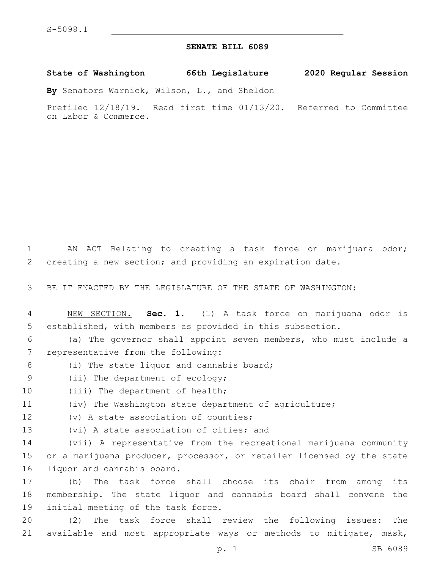## **SENATE BILL 6089**

**State of Washington 66th Legislature 2020 Regular Session**

**By** Senators Warnick, Wilson, L., and Sheldon

Prefiled 12/18/19. Read first time 01/13/20. Referred to Committee on Labor & Commerce.

1 AN ACT Relating to creating a task force on marijuana odor; 2 creating a new section; and providing an expiration date.

3 BE IT ENACTED BY THE LEGISLATURE OF THE STATE OF WASHINGTON:

4 NEW SECTION. **Sec. 1.** (1) A task force on marijuana odor is 5 established, with members as provided in this subsection.

6 (a) The governor shall appoint seven members, who must include a 7 representative from the following:

8 (i) The state liquor and cannabis board;

9 (ii) The department of ecology;

10 (iii) The department of health;

11 (iv) The Washington state department of agriculture;

12 (v) A state association of counties;

13 (vi) A state association of cities; and

14 (vii) A representative from the recreational marijuana community 15 or a marijuana producer, processor, or retailer licensed by the state 16 liquor and cannabis board.

17 (b) The task force shall choose its chair from among its 18 membership. The state liquor and cannabis board shall convene the 19 initial meeting of the task force.

20 (2) The task force shall review the following issues: The 21 available and most appropriate ways or methods to mitigate, mask,